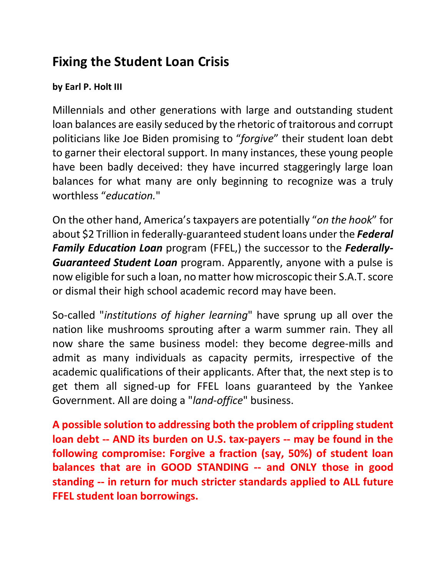## **Fixing the Student Loan Crisis**

## **by Earl P. Holt III**

Millennials and other generations with large and outstanding student loan balances are easily seduced by the rhetoric of traitorous and corrupt politicians like Joe Biden promising to "*forgive*" their student loan debt to garner their electoral support. In many instances, these young people have been badly deceived: they have incurred staggeringly large loan balances for what many are only beginning to recognize was a truly worthless "*education.*"

On the other hand, America's taxpayers are potentially "*on the hook*" for about \$2 Trillion in federally-guaranteed student loans under the *Federal Family Education Loan* program (FFEL,) the successor to the *Federally-Guaranteed Student Loan* program. Apparently, anyone with a pulse is now eligible for such a loan, no matter how microscopic their S.A.T. score or dismal their high school academic record may have been.

So-called "*institutions of higher learning*" have sprung up all over the nation like mushrooms sprouting after a warm summer rain. They all now share the same business model: they become degree-mills and admit as many individuals as capacity permits, irrespective of the academic qualifications of their applicants. After that, the next step is to get them all signed-up for FFEL loans guaranteed by the Yankee Government. All are doing a "*land-office*" business.

**A possible solution to addressing both the problem of crippling student loan debt -- AND its burden on U.S. tax-payers -- may be found in the following compromise: Forgive a fraction (say, 50%) of student loan balances that are in GOOD STANDING -- and ONLY those in good standing -- in return for much stricter standards applied to ALL future FFEL student loan borrowings.**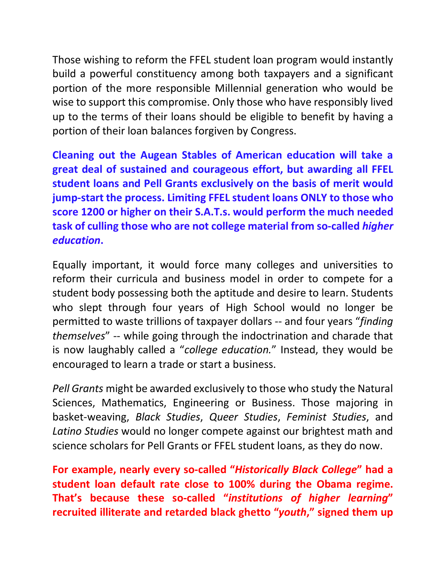Those wishing to reform the FFEL student loan program would instantly build a powerful constituency among both taxpayers and a significant portion of the more responsible Millennial generation who would be wise to support this compromise. Only those who have responsibly lived up to the terms of their loans should be eligible to benefit by having a portion of their loan balances forgiven by Congress.

**Cleaning out the Augean Stables of American education will take a great deal of sustained and courageous effort, but awarding all FFEL student loans and Pell Grants exclusively on the basis of merit would jump-start the process. Limiting FFEL student loans ONLY to those who score 1200 or higher on their S.A.T.s. would perform the much needed task of culling those who are not college material from so-called** *higher education***.**

Equally important, it would force many colleges and universities to reform their curricula and business model in order to compete for a student body possessing both the aptitude and desire to learn. Students who slept through four years of High School would no longer be permitted to waste trillions of taxpayer dollars -- and four years "*finding themselves*" -- while going through the indoctrination and charade that is now laughably called a "*college education.*" Instead, they would be encouraged to learn a trade or start a business.

*Pell Grants* might be awarded exclusively to those who study the Natural Sciences, Mathematics, Engineering or Business. Those majoring in basket-weaving, *Black Studies*, *Queer Studies*, *Feminist Studies*, and *Latino Studies* would no longer compete against our brightest math and science scholars for Pell Grants or FFEL student loans, as they do now.

**For example, nearly every so-called "***Historically Black College***" had a student loan default rate close to 100% during the Obama regime. That's because these so-called "***institutions of higher learning***" recruited illiterate and retarded black ghetto "***youth***," signed them up**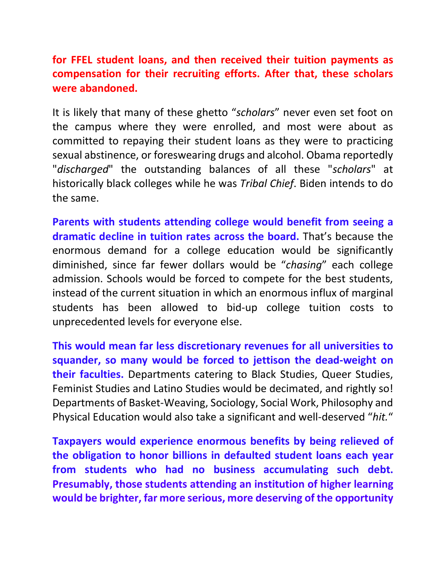**for FFEL student loans, and then received their tuition payments as compensation for their recruiting efforts. After that, these scholars were abandoned.**

It is likely that many of these ghetto "*scholars*" never even set foot on the campus where they were enrolled, and most were about as committed to repaying their student loans as they were to practicing sexual abstinence, or foreswearing drugs and alcohol. Obama reportedly "*discharged*" the outstanding balances of all these "*scholars*" at historically black colleges while he was *Tribal Chief*. Biden intends to do the same.

**Parents with students attending college would benefit from seeing a dramatic decline in tuition rates across the board.** That's because the enormous demand for a college education would be significantly diminished, since far fewer dollars would be "*chasing*" each college admission. Schools would be forced to compete for the best students, instead of the current situation in which an enormous influx of marginal students has been allowed to bid-up college tuition costs to unprecedented levels for everyone else.

**This would mean far less discretionary revenues for all universities to squander, so many would be forced to jettison the dead-weight on their faculties.** Departments catering to Black Studies, Queer Studies, Feminist Studies and Latino Studies would be decimated, and rightly so! Departments of Basket-Weaving, Sociology, Social Work, Philosophy and Physical Education would also take a significant and well-deserved "*hit.*"

**Taxpayers would experience enormous benefits by being relieved of the obligation to honor billions in defaulted student loans each year from students who had no business accumulating such debt. Presumably, those students attending an institution of higher learning would be brighter, far more serious, more deserving of the opportunity**